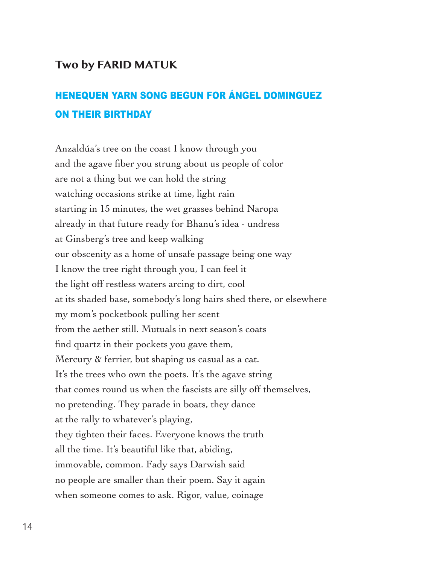## **Two by FARID MATUK**

## HENEQUEN YARN SONG BEGUN FOR ÁNGEL DOMINGUEZ ON THEIR BIRTHDAY

Anzaldúa's tree on the coast I know through you and the agave fiber you strung about us people of color are not a thing but we can hold the string watching occasions strike at time, light rain starting in 15 minutes, the wet grasses behind Naropa already in that future ready for Bhanu's idea - undress at Ginsberg's tree and keep walking our obscenity as a home of unsafe passage being one way I know the tree right through you, I can feel it the light off restless waters arcing to dirt, cool at its shaded base, somebody's long hairs shed there, or elsewhere my mom's pocketbook pulling her scent from the aether still. Mutuals in next season's coats find quartz in their pockets you gave them, Mercury & ferrier, but shaping us casual as a cat. It's the trees who own the poets. It's the agave string that comes round us when the fascists are silly off themselves, no pretending. They parade in boats, they dance at the rally to whatever's playing, they tighten their faces. Everyone knows the truth all the time. It's beautiful like that, abiding, immovable, common. Fady says Darwish said no people are smaller than their poem. Say it again when someone comes to ask. Rigor, value, coinage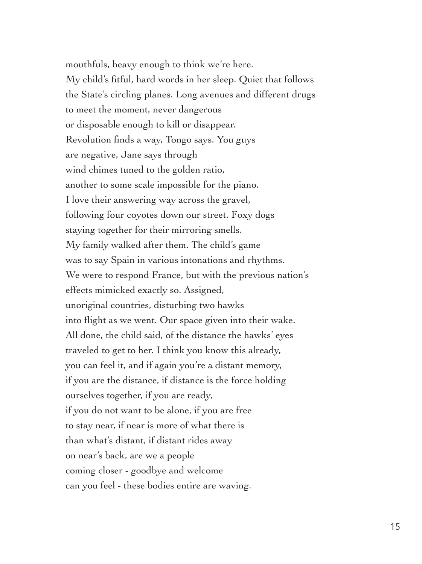mouthfuls, heavy enough to think we're here. My child's fitful, hard words in her sleep. Quiet that follows the State's circling planes. Long avenues and different drugs to meet the moment, never dangerous or disposable enough to kill or disappear. Revolution finds a way, Tongo says. You guys are negative, Jane says through wind chimes tuned to the golden ratio, another to some scale impossible for the piano. I love their answering way across the gravel, following four coyotes down our street. Foxy dogs staying together for their mirroring smells. My family walked after them. The child's game was to say Spain in various intonations and rhythms. We were to respond France, but with the previous nation's effects mimicked exactly so. Assigned, unoriginal countries, disturbing two hawks into flight as we went. Our space given into their wake. All done, the child said, of the distance the hawks' eyes traveled to get to her. I think you know this already, you can feel it, and if again you're a distant memory, if you are the distance, if distance is the force holding ourselves together, if you are ready, if you do not want to be alone, if you are free to stay near, if near is more of what there is than what's distant, if distant rides away on near's back, are we a people coming closer - goodbye and welcome can you feel - these bodies entire are waving.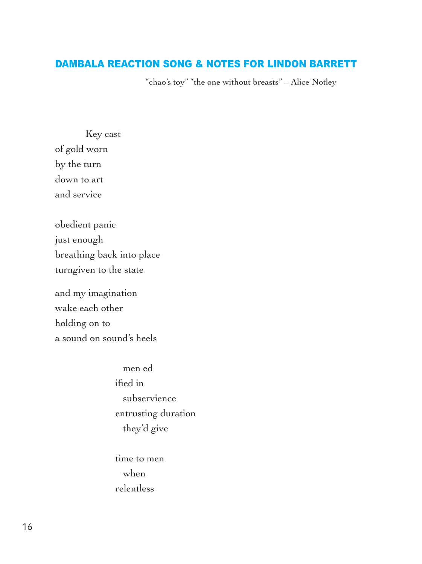## DAMBALA REACTION SONG & NOTES FOR LINDON BARRETT

"chao's toy" "the one without breasts" – Alice Notley

Key cast of gold worn by the turn down to art and service

obedient panic just enough breathing back into place turngiven to the state

and my imagination wake each other holding on to a sound on sound's heels

> men ed ified in subservience entrusting duration they'd give

time to men when relentless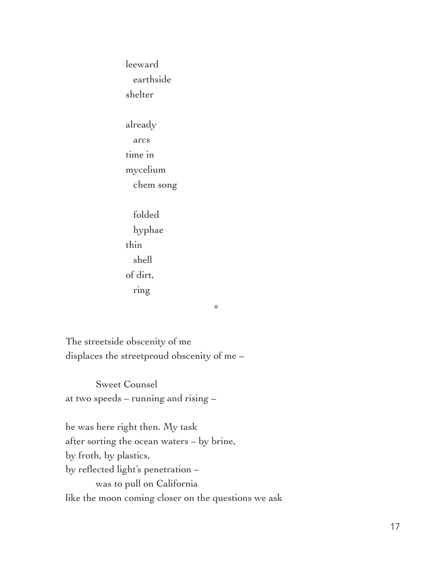leeward earthside shelter already arcs time in mycelium chem song folded hyphae thin shell of dirt, ring

\*

The streetside obscenity of me displaces the streetproud obscenity of me –

Sweet Counsel at two speeds – running and rising –

he was here right then. My task after sorting the ocean waters – by brine, by froth, by plastics, by reflected light's penetration – was to pull on California like the moon coming closer on the questions we ask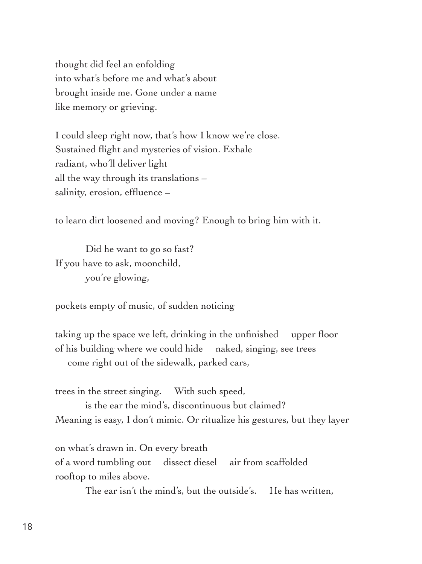thought did feel an enfolding into what's before me and what's about brought inside me. Gone under a name like memory or grieving.

I could sleep right now, that's how I know we're close. Sustained flight and mysteries of vision. Exhale radiant, who'll deliver light all the way through its translations – salinity, erosion, effluence –

to learn dirt loosened and moving? Enough to bring him with it.

Did he want to go so fast? If you have to ask, moonchild, you're glowing,

pockets empty of music, of sudden noticing

taking up the space we left, drinking in the unfinished upper floor of his building where we could hide naked, singing, see trees come right out of the sidewalk, parked cars,

trees in the street singing. With such speed,

is the ear the mind's, discontinuous but claimed? Meaning is easy, I don't mimic. Or ritualize his gestures, but they layer

on what's drawn in. On every breath of a word tumbling out dissect diesel air from scaffolded rooftop to miles above.

The ear isn't the mind's, but the outside's. He has written,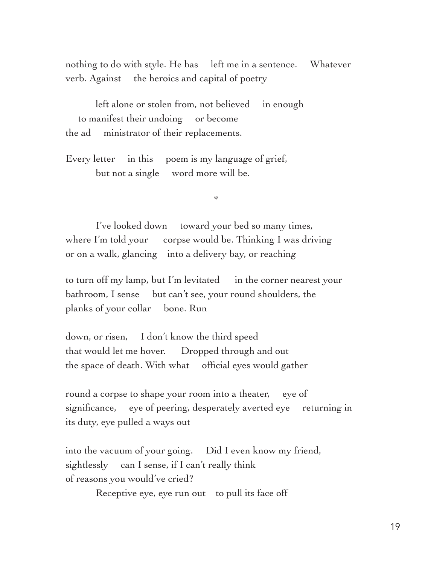nothing to do with style. He has left me in a sentence. Whatever verb. Against the heroics and capital of poetry

left alone or stolen from, not believed in enough to manifest their undoing or become the ad ministrator of their replacements.

Every letter in this poem is my language of grief, but not a single word more will be.

I've looked down toward your bed so many times, where I'm told your corpse would be. Thinking I was driving

\*

or on a walk, glancing into a delivery bay, or reaching

to turn off my lamp, but I'm levitated in the corner nearest your bathroom, I sense but can't see, your round shoulders, the planks of your collar bone. Run

down, or risen, I don't know the third speed that would let me hover. Dropped through and out the space of death. With what official eyes would gather

round a corpse to shape your room into a theater, eye of significance, eye of peering, desperately averted eye returning in its duty, eye pulled a ways out

into the vacuum of your going. Did I even know my friend, sightlessly can I sense, if I can't really think of reasons you would've cried?

Receptive eye, eye run out to pull its face off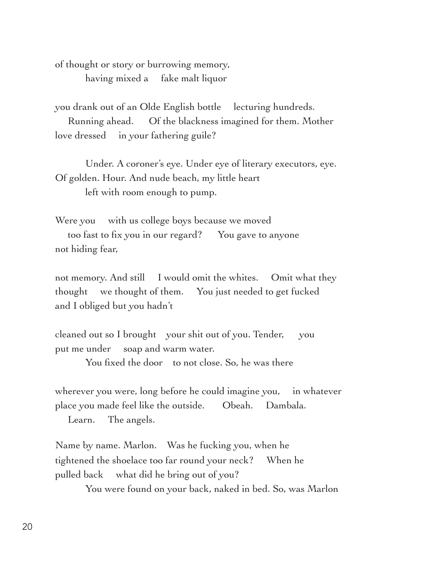of thought or story or burrowing memory, having mixed a fake malt liquor

you drank out of an Olde English bottle lecturing hundreds. Running ahead. Of the blackness imagined for them. Mother love dressed in your fathering guile?

Under. A coroner's eye. Under eye of literary executors, eye. Of golden. Hour. And nude beach, my little heart left with room enough to pump.

Were you with us college boys because we moved too fast to fix you in our regard? You gave to anyone not hiding fear,

not memory. And still I would omit the whites. Omit what they thought we thought of them. You just needed to get fucked and I obliged but you hadn't

cleaned out so I brought your shit out of you. Tender, you put me under soap and warm water.

You fixed the door to not close. So, he was there

wherever you were, long before he could imagine you, in whatever place you made feel like the outside. Obeah. Dambala.

Learn. The angels.

Name by name. Marlon. Was he fucking you, when he tightened the shoelace too far round your neck? When he pulled back what did he bring out of you?

You were found on your back, naked in bed. So, was Marlon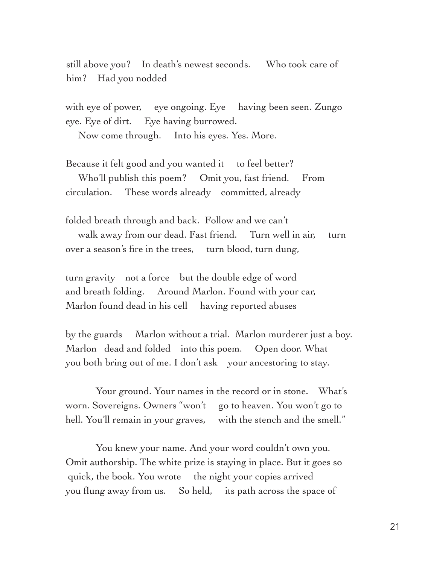still above you? In death's newest seconds. Who took care of him? Had you nodded

with eye of power, eye ongoing. Eye having been seen. Zungo eye. Eye of dirt. Eye having burrowed.

Now come through. Into his eyes. Yes. More.

Because it felt good and you wanted it to feel better? Who'll publish this poem? Omit you, fast friend. From circulation. These words already committed, already

folded breath through and back. Follow and we can't walk away from our dead. Fast friend. Turn well in air, turn over a season's fire in the trees, turn blood, turn dung,

turn gravity not a force but the double edge of word and breath folding. Around Marlon. Found with your car, Marlon found dead in his cell having reported abuses

by the guards Marlon without a trial. Marlon murderer just a boy. Marlon dead and folded into this poem. Open door. What you both bring out of me. I don't ask your ancestoring to stay.

Your ground. Your names in the record or in stone. What's worn. Sovereigns. Owners "won't go to heaven. You won't go to hell. You'll remain in your graves, with the stench and the smell."

You knew your name. And your word couldn't own you. Omit authorship. The white prize is staying in place. But it goes so quick, the book. You wrote the night your copies arrived you flung away from us. So held, its path across the space of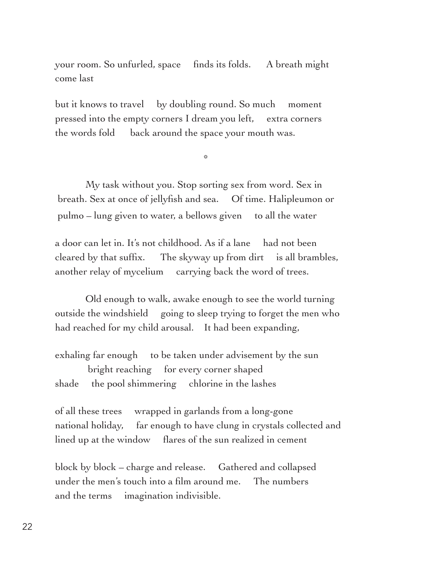your room. So unfurled, space finds its folds. A breath might come last

but it knows to travel by doubling round. So much moment pressed into the empty corners I dream you left, extra corners the words fold back around the space your mouth was.

\*

My task without you. Stop sorting sex from word. Sex in breath. Sex at once of jellyfish and sea. Of time. Halipleumon or pulmo – lung given to water, a bellows given to all the water

a door can let in. It's not childhood. As if a lane had not been cleared by that suffix. The skyway up from dirt is all brambles, another relay of mycelium carrying back the word of trees.

Old enough to walk, awake enough to see the world turning outside the windshield going to sleep trying to forget the men who had reached for my child arousal. It had been expanding,

exhaling far enough to be taken under advisement by the sun bright reaching for every corner shaped shade the pool shimmering chlorine in the lashes

of all these trees wrapped in garlands from a long-gone national holiday, far enough to have clung in crystals collected and lined up at the window flares of the sun realized in cement

block by block – charge and release. Gathered and collapsed under the men's touch into a film around me. The numbers and the terms imagination indivisible.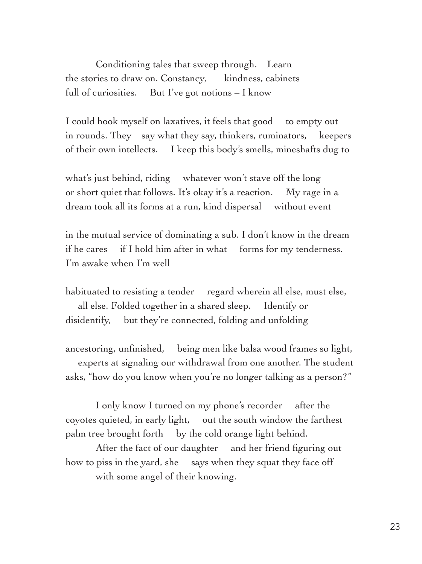Conditioning tales that sweep through. Learn the stories to draw on. Constancy, kindness, cabinets full of curiosities. But I've got notions - I know

I could hook myself on laxatives, it feels that good to empty out in rounds. They say what they say, thinkers, ruminators, keepers of their own intellects. I keep this body's smells, mineshafts dug to

what's just behind, riding whatever won't stave off the long or short quiet that follows. It's okay it's a reaction. My rage in a dream took all its forms at a run, kind dispersal without event

in the mutual service of dominating a sub. I don't know in the dream if he cares if I hold him after in what forms for my tenderness. I'm awake when I'm well

habituated to resisting a tender regard wherein all else, must else, all else. Folded together in a shared sleep. Identify or disidentify, but they're connected, folding and unfolding

ancestoring, unfinished, being men like balsa wood frames so light, experts at signaling our withdrawal from one another. The student asks, "how do you know when you're no longer talking as a person?"

I only know I turned on my phone's recorder after the coyotes quieted, in early light, out the south window the farthest palm tree brought forth by the cold orange light behind.

After the fact of our daughter and her friend figuring out how to piss in the yard, she says when they squat they face off with some angel of their knowing.